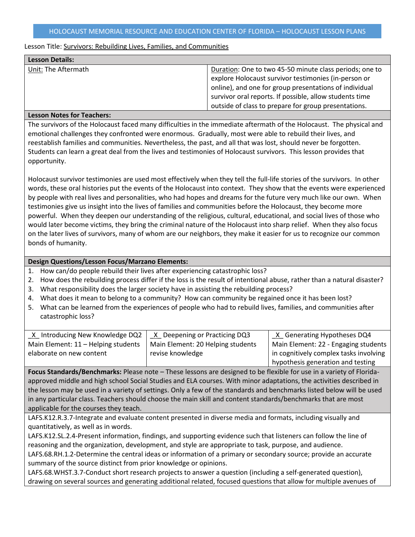| <b>Lesson Details:</b> |                                                         |
|------------------------|---------------------------------------------------------|
| Unit: The Aftermath    | Duration: One to two 45-50 minute class periods; one to |
|                        | explore Holocaust survivor testimonies (in-person or    |
|                        | online), and one for group presentations of individual  |
|                        | survivor oral reports. If possible, allow students time |
|                        | outside of class to prepare for group presentations.    |

# **Lesson Notes for Teachers:**

The survivors of the Holocaust faced many difficulties in the immediate aftermath of the Holocaust. The physical and emotional challenges they confronted were enormous. Gradually, most were able to rebuild their lives, and reestablish families and communities. Nevertheless, the past, and all that was lost, should never be forgotten. Students can learn a great deal from the lives and testimonies of Holocaust survivors. This lesson provides that opportunity.

Holocaust survivor testimonies are used most effectively when they tell the full-life stories of the survivors. In other words, these oral histories put the events of the Holocaust into context. They show that the events were experienced by people with real lives and personalities, who had hopes and dreams for the future very much like our own. When testimonies give us insight into the lives of families and communities before the Holocaust, they become more powerful. When they deepen our understanding of the religious, cultural, educational, and social lives of those who would later become victims, they bring the criminal nature of the Holocaust into sharp relief. When they also focus on the later lives of survivors, many of whom are our neighbors, they make it easier for us to recognize our common bonds of humanity.

# **Design Questions/Lesson Focus/Marzano Elements:**

- 1. How can/do people rebuild their lives after experiencing catastrophic loss?
- 2. How does the rebuilding process differ if the loss is the result of intentional abuse, rather than a natural disaster?
- 3. What responsibility does the larger society have in assisting the rebuilding process?
- 4. What does it mean to belong to a community? How can community be regained once it has been lost?
- 5. What can be learned from the experiences of people who had to rebuild lives, families, and communities after catastrophic loss?

| X Introducing New Knowledge DQ2       | Deepening or Practicing DQ3       | X Generating Hypotheses DQ4            |
|---------------------------------------|-----------------------------------|----------------------------------------|
| Main Element: $11 -$ Helping students | Main Element: 20 Helping students | Main Element: 22 - Engaging students   |
| elaborate on new content              | revise knowledge                  | in cognitively complex tasks involving |
|                                       |                                   | hypothesis generation and testing      |

**Focus Standards/Benchmarks:** Please note – These lessons are designed to be flexible for use in a variety of Floridaapproved middle and high school Social Studies and ELA courses. With minor adaptations, the activities described in the lesson may be used in a variety of settings. Only a few of the standards and benchmarks listed below will be used in any particular class. Teachers should choose the main skill and content standards/benchmarks that are most applicable for the courses they teach.

LAFS.K12.R.3.7-Integrate and evaluate content presented in diverse media and formats, including visually and quantitatively, as well as in words.

LAFS.K12.SL.2.4-Present information, findings, and supporting evidence such that listeners can follow the line of reasoning and the organization, development, and style are appropriate to task, purpose, and audience. LAFS.68.RH.1.2-Determine the central ideas or information of a primary or secondary source; provide an accurate summary of the source distinct from prior knowledge or opinions.

LAFS.68.WHST.3.7-Conduct short research projects to answer a question (including a self-generated question), drawing on several sources and generating additional related, focused questions that allow for multiple avenues of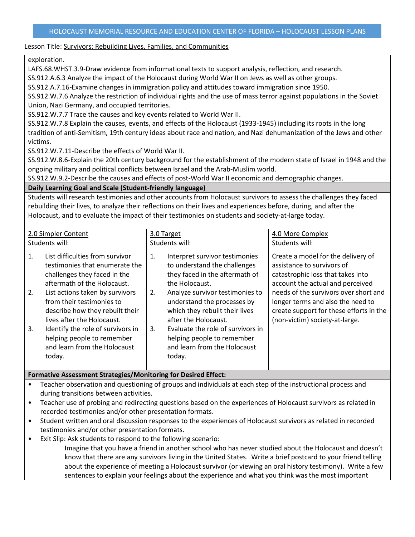#### exploration.

LAFS.68.WHST.3.9-Draw evidence from informational texts to support analysis, reflection, and research.

SS.912.A.6.3 Analyze the impact of the Holocaust during World War II on Jews as well as other groups.

SS.912.A.7.16-Examine changes in immigration policy and attitudes toward immigration since 1950.

SS.912.W.7.6 Analyze the restriction of individual rights and the use of mass terror against populations in the Soviet Union, Nazi Germany, and occupied territories.

SS.912.W.7.7 Trace the causes and key events related to World War II.

SS.912.W.7.8 Explain the causes, events, and effects of the Holocaust (1933-1945) including its roots in the long tradition of anti-Semitism, 19th century ideas about race and nation, and Nazi dehumanization of the Jews and other victims.

SS.912.W.7.11-Describe the effects of World War II.

SS.912.W.8.6-Explain the 20th century background for the establishment of the modern state of Israel in 1948 and the ongoing military and political conflicts between Israel and the Arab-Muslim world.

SS.912.W.9.2-Describe the causes and effects of post-World War II economic and demographic changes.

# **Daily Learning Goal and Scale (Student-friendly language)**

Students will research testimonies and other accounts from Holocaust survivors to assess the challenges they faced rebuilding their lives, to analyze their reflections on their lives and experiences before, during, and after the Holocaust, and to evaluate the impact of their testimonies on students and society-at-large today.

| 2.0 Simpler Content<br>Students will:                                                                                                              | 3.0 Target<br>Students will:                                                                                                   | 4.0 More Complex<br>Students will:                                                                                                                      |
|----------------------------------------------------------------------------------------------------------------------------------------------------|--------------------------------------------------------------------------------------------------------------------------------|---------------------------------------------------------------------------------------------------------------------------------------------------------|
| List difficulties from survivor<br>$\mathbf{1}$ .<br>testimonies that enumerate the<br>challenges they faced in the<br>aftermath of the Holocaust. | Interpret survivor testimonies<br>1.<br>to understand the challenges<br>they faced in the aftermath of<br>the Holocaust.       | Create a model for the delivery of<br>assistance to survivors of<br>catastrophic loss that takes into<br>account the actual and perceived               |
| List actions taken by survivors<br>2.<br>from their testimonies to<br>describe how they rebuilt their<br>lives after the Holocaust.                | Analyze survivor testimonies to<br>2.<br>understand the processes by<br>which they rebuilt their lives<br>after the Holocaust. | needs of the survivors over short and<br>longer terms and also the need to<br>create support for these efforts in the<br>(non-victim) society-at-large. |
| Identify the role of survivors in<br>3.<br>helping people to remember<br>and learn from the Holocaust<br>today.                                    | Evaluate the role of survivors in<br>3.<br>helping people to remember<br>and learn from the Holocaust<br>today.                |                                                                                                                                                         |

#### **Formative Assessment Strategies/Monitoring for Desired Effect:**

- Teacher observation and questioning of groups and individuals at each step of the instructional process and during transitions between activities.
- Teacher use of probing and redirecting questions based on the experiences of Holocaust survivors as related in recorded testimonies and/or other presentation formats.
- Student written and oral discussion responses to the experiences of Holocaust survivors as related in recorded testimonies and/or other presentation formats.
- Exit Slip: Ask students to respond to the following scenario:

Imagine that you have a friend in another school who has never studied about the Holocaust and doesn't know that there are any survivors living in the United States. Write a brief postcard to your friend telling about the experience of meeting a Holocaust survivor (or viewing an oral history testimony). Write a few sentences to explain your feelings about the experience and what you think was the most important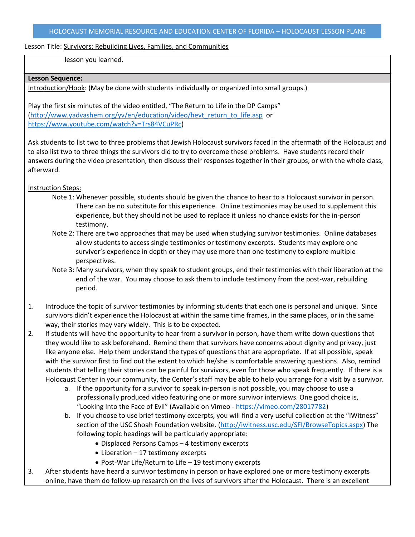# lesson you learned.

### **Lesson Sequence:**

Introduction/Hook: (May be done with students individually or organized into small groups.)

Play the first six minutes of the video entitled, "The Return to Life in the DP Camps" [\(http://www.yadvashem.org/yv/en/education/video/hevt\\_return\\_to\\_life.asp](http://www.yadvashem.org/yv/en/education/video/hevt_return_to_life.asp) or [https://www.youtube.com/watch?v=Trs84VCuPRc\)](https://www.youtube.com/watch?v=Trs84VCuPRc)

Ask students to list two to three problems that Jewish Holocaust survivors faced in the aftermath of the Holocaust and to also list two to three things the survivors did to try to overcome these problems. Have students record their answers during the video presentation, then discuss their responses together in their groups, or with the whole class, afterward.

Instruction Steps:

- Note 1: Whenever possible, students should be given the chance to hear to a Holocaust survivor in person. There can be no substitute for this experience. Online testimonies may be used to supplement this experience, but they should not be used to replace it unless no chance exists for the in-person testimony.
- Note 2: There are two approaches that may be used when studying survivor testimonies. Online databases allow students to access single testimonies or testimony excerpts. Students may explore one survivor's experience in depth or they may use more than one testimony to explore multiple perspectives.
- Note 3: Many survivors, when they speak to student groups, end their testimonies with their liberation at the end of the war. You may choose to ask them to include testimony from the post-war, rebuilding period.
- 1. Introduce the topic of survivor testimonies by informing students that each one is personal and unique. Since survivors didn't experience the Holocaust at within the same time frames, in the same places, or in the same way, their stories may vary widely. This is to be expected.
- 2. If students will have the opportunity to hear from a survivor in person, have them write down questions that they would like to ask beforehand. Remind them that survivors have concerns about dignity and privacy, just like anyone else. Help them understand the types of questions that are appropriate. If at all possible, speak with the survivor first to find out the extent to which he/she is comfortable answering questions. Also, remind students that telling their stories can be painful for survivors, even for those who speak frequently. If there is a Holocaust Center in your community, the Center's staff may be able to help you arrange for a visit by a survivor.
	- a. If the opportunity for a survivor to speak in-person is not possible, you may choose to use a professionally produced video featuring one or more survivor interviews. One good choice is, "Looking Into the Face of Evil" (Available on Vimeo - [https://vimeo.com/28017782\)](https://vimeo.com/28017782)
	- b. If you choose to use brief testimony excerpts, you will find a very useful collection at the "IWitness" section of the USC Shoah Foundation website. [\(http://iwitness.usc.edu/SFI/BrowseTopics.aspx\)](http://iwitness.usc.edu/SFI/BrowseTopics.aspx) The following topic headings will be particularly appropriate:
		- Displaced Persons Camps 4 testimony excerpts
		- Liberation 17 testimony excerpts
		- Post-War Life/Return to Life 19 testimony excerpts
- 3. After students have heard a survivor testimony in person or have explored one or more testimony excerpts online, have them do follow-up research on the lives of survivors after the Holocaust. There is an excellent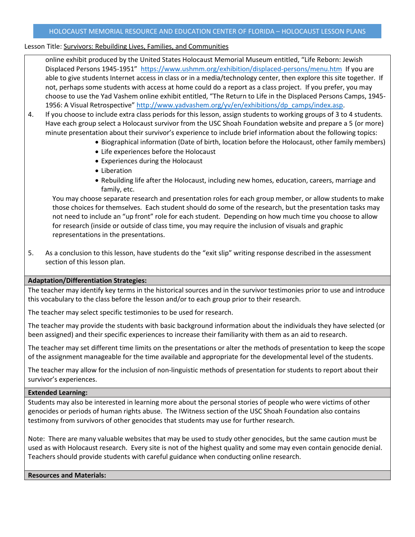online exhibit produced by the United States Holocaust Memorial Museum entitled, "Life Reborn: Jewish Displaced Persons 1945-1951" <https://www.ushmm.org/exhibition/displaced-persons/menu.htm>If you are able to give students Internet access in class or in a media/technology center, then explore this site together. If not, perhaps some students with access at home could do a report as a class project. If you prefer, you may choose to use the Yad Vashem online exhibit entitled, "The Return to Life in the Displaced Persons Camps, 1945- 1956: A Visual Retrospective" [http://www.yadvashem.org/yv/en/exhibitions/dp\\_camps/index.asp.](http://www.yadvashem.org/yv/en/exhibitions/dp_camps/index.asp)

- 4. If you choose to include extra class periods for this lesson, assign students to working groups of 3 to 4 students. Have each group select a Holocaust survivor from the USC Shoah Foundation website and prepare a 5 (or more) minute presentation about their survivor's experience to include brief information about the following topics:
	- Biographical information (Date of birth, location before the Holocaust, other family members)
	- Life experiences before the Holocaust
	- Experiences during the Holocaust
	- Liberation
	- Rebuilding life after the Holocaust, including new homes, education, careers, marriage and family, etc.

You may choose separate research and presentation roles for each group member, or allow students to make those choices for themselves. Each student should do some of the research, but the presentation tasks may not need to include an "up front" role for each student. Depending on how much time you choose to allow for research (inside or outside of class time, you may require the inclusion of visuals and graphic representations in the presentations.

5. As a conclusion to this lesson, have students do the "exit slip" writing response described in the assessment section of this lesson plan.

#### **Adaptation/Differentiation Strategies:**

The teacher may identify key terms in the historical sources and in the survivor testimonies prior to use and introduce this vocabulary to the class before the lesson and/or to each group prior to their research.

The teacher may select specific testimonies to be used for research.

The teacher may provide the students with basic background information about the individuals they have selected (or been assigned) and their specific experiences to increase their familiarity with them as an aid to research.

The teacher may set different time limits on the presentations or alter the methods of presentation to keep the scope of the assignment manageable for the time available and appropriate for the developmental level of the students.

The teacher may allow for the inclusion of non-linguistic methods of presentation for students to report about their survivor's experiences.

#### **Extended Learning:**

Students may also be interested in learning more about the personal stories of people who were victims of other genocides or periods of human rights abuse. The IWitness section of the USC Shoah Foundation also contains testimony from survivors of other genocides that students may use for further research.

Note: There are many valuable websites that may be used to study other genocides, but the same caution must be used as with Holocaust research. Every site is not of the highest quality and some may even contain genocide denial. Teachers should provide students with careful guidance when conducting online research.

#### **Resources and Materials:**